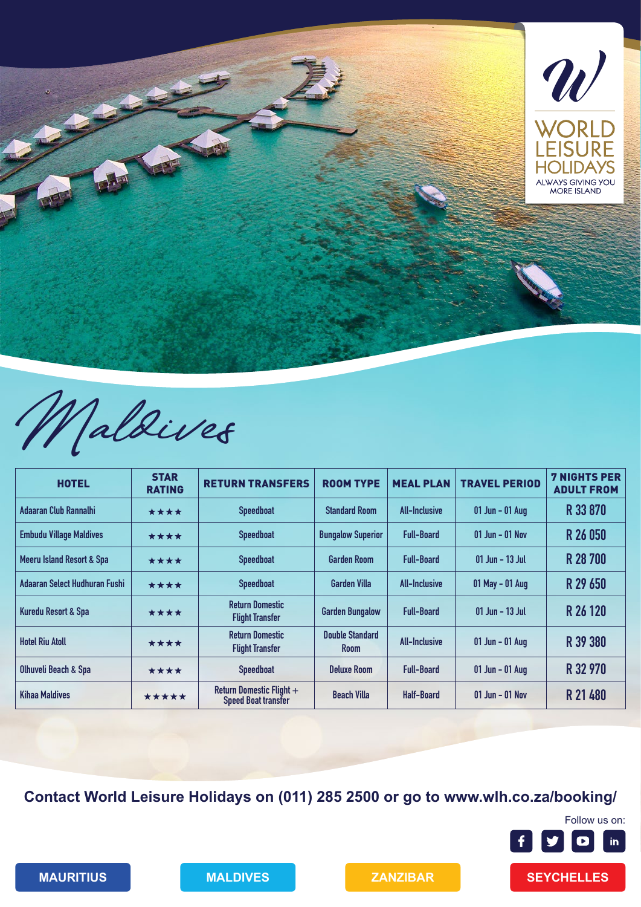

Maldives

| <b>HOTEL</b>                         | <b>STAR</b><br><b>RATING</b> | <b>RETURN TRANSFERS</b>                                | <b>ROOM TYPE</b>                      | <b>MEAL PLAN</b>     | <b>TRAVEL PERIOD</b> | <b>7 NIGHTS PER</b><br><b>ADULT FROM</b> |
|--------------------------------------|------------------------------|--------------------------------------------------------|---------------------------------------|----------------------|----------------------|------------------------------------------|
| Adaaran Club Rannalhi                | ****                         | <b>Speedboat</b>                                       | <b>Standard Room</b>                  | <b>All-Inclusive</b> | 01 Jun - 01 Aug      | R 33 870                                 |
| <b>Embudu Village Maldives</b>       | ****                         | <b>Speedboat</b>                                       | <b>Bungalow Superior</b>              | <b>Full-Board</b>    | $01$ Jun – $01$ Nov  | R 26 050                                 |
| <b>Meeru Island Resort &amp; Spa</b> | ****                         | <b>Speedboat</b>                                       | <b>Garden Room</b>                    | <b>Full-Board</b>    | 01 Jun - 13 Jul      | R 28 700                                 |
| Adaaran Select Hudhuran Fushi        | ****                         | <b>Speedboat</b>                                       | <b>Garden Villa</b>                   | <b>All-Inclusive</b> | $01$ May - 01 Aug    | R 29 650                                 |
| Kuredu Resort & Spa                  | ****                         | <b>Return Domestic</b><br><b>Flight Transfer</b>       | <b>Garden Bungalow</b>                | <b>Full-Board</b>    | 01 Jun - 13 Jul      | R 26 120                                 |
| <b>Hotel Riu Atoll</b>               | ****                         | <b>Return Domestic</b><br><b>Flight Transfer</b>       | <b>Double Standard</b><br><b>Room</b> | <b>All-Inclusive</b> | $01$ Jun - 01 Aug    | R 39 380                                 |
| <b>Olhuveli Beach &amp; Spa</b>      | ****                         | <b>Speedboat</b>                                       | <b>Deluxe Room</b>                    | <b>Full-Board</b>    | 01 Jun - 01 Aug      | R 32 970                                 |
| <b>Kihaa Maldives</b>                | *****                        | Return Domestic Flight +<br><b>Speed Boat transfer</b> | <b>Beach Villa</b>                    | <b>Half-Board</b>    | $01$ Jun – $01$ Nov  | R 21 480                                 |

**Contact World Leisure Holidays on (011) 285 2500 or go to www.wlh.co.za/booking/**